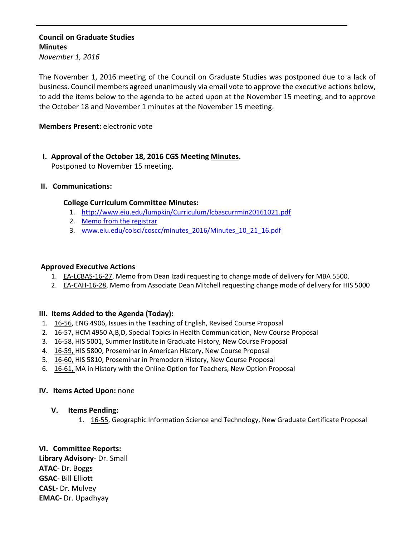# **Council on Graduate Studies Minutes**

*November 1, 2016*

The November 1, 2016 meeting of the Council on Graduate Studies was postponed due to a lack of business. Council members agreed unanimously via email vote to approve the executive actions below, to add the items below to the agenda to be acted upon at the November 15 meeting, and to approve the October 18 and November 1 minutes at the November 15 meeting.

## **Members Present:** electronic vote

# **I. Approval of the October 18, 2016 CGS Meeting [Minutes.](http://castle.eiu.edu/eiucgs/currentminutes/Minutes10-18-16.pdf)**

Postponed to November 15 meeting.

#### **II. Communications:**

#### **College Curriculum Committee Minutes:**

- 1. <http://www.eiu.edu/lumpkin/Curriculum/lcbascurrmin20161021.pdf>
- 2. Memo from the [registrar](http://castle.eiu.edu/eiucgs/R_Course_Memo_from_registrar.pdf)
- 3. [www.eiu.edu/colsci/coscc/minutes\\_2016/Minutes\\_10\\_21\\_16.pdf](http://www.eiu.edu/colsci/coscc/minutes_2016/Minutes_10_21_16.pdf)

## **Approved Executive Actions**

- 1. EA-[LCBAS](http://castle.eiu.edu/eiucgs/exec-actions/EA-LCBAS-16-27.pdf)-16-27, Memo from Dean Izadi requesting to change mode of delivery for MBA 5500.
- 2. EA-[CAH](http://castle.eiu.edu/eiucgs/exec-actions/EA-CAH-16-28.pdf)-16-28, Memo from Associate Dean Mitchell requesting change mode of delivery for HIS 5000

#### **III. Items Added to the Agenda (Today):**

- 1. 16‐[56,](http://castle.eiu.edu/eiucgs/currentagendaitems/agenda16-56.pdf) ENG 4906, Issues in the Teaching of English, Revised Course Proposal
- 2. 16‐[57,](http://castle.eiu.edu/eiucgs/currentagendaitems/agenda16-57.pdf) HCM 4950 A,B,D, Special Topics in Health Communication, New Course Proposal
- 3. 16‐[58,](http://castle.eiu.edu/eiucgs/currentagendaitems/agenda16-58.pdf) HIS 5001, Summer Institute in Graduate History, New Course Proposal
- 4. 16‐[59,](http://castle.eiu.edu/eiucgs/currentagendaitems/agenda16-59.pdf) HIS 5800, Proseminar in American History, New Course Proposal
- 5. 16‐[60,](http://castle.eiu.edu/eiucgs/currentagendaitems/agenda16-60.pdf) HIS 5810, Proseminar in Premodern History, New Course Proposal
- 6. 16-[61,](http://castle.eiu.edu/eiucgs/currentagendaitems/agenda16-61.pdf) MA in History with the Online Option for Teachers, New Option Proposal

#### **IV. Items Acted Upon:** none

#### **V. Items Pending:**

1. 16-[55,](http://castle.eiu.edu/eiucgs/currentagendaitems/agenda16-55.pdf) Geographic Information Science and Technology, New Graduate Certificate Proposal

# **VI. Committee Reports:**

**Library Advisory**‐ Dr. Small **ATAC**‐ Dr. Boggs **GSAC**‐ Bill Elliott **CASL‐** Dr. Mulvey **EMAC‐** Dr. Upadhyay